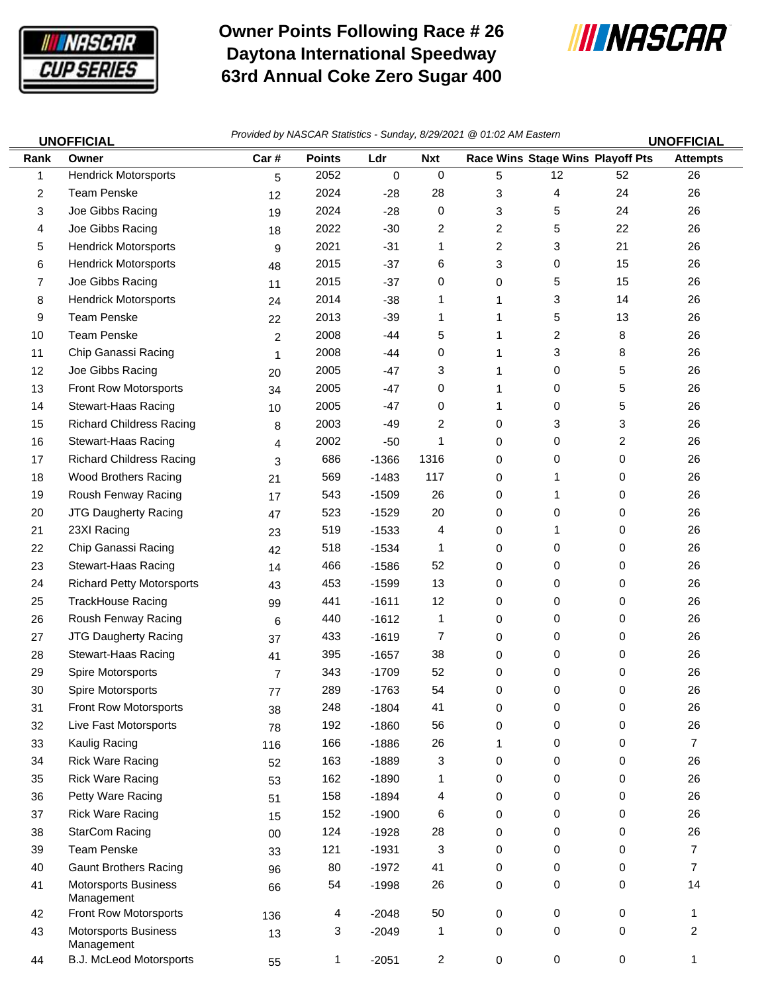

 $\equiv$ 

## **Owner Points Following Race # 26 Daytona International Speedway 63rd Annual Coke Zero Sugar 400**



|      | <b>UNOFFICIAL</b>                         | Provided by NASCAR Statistics - Sunday, 8/29/2021 @ 01:02 AM Eastern<br><b>UNOFFICIAL</b> |               |         |            |                |    |                                         |                 |
|------|-------------------------------------------|-------------------------------------------------------------------------------------------|---------------|---------|------------|----------------|----|-----------------------------------------|-----------------|
| Rank | Owner                                     | Car#                                                                                      | <b>Points</b> | Ldr     | <b>Nxt</b> |                |    | <b>Race Wins Stage Wins Playoff Pts</b> | <b>Attempts</b> |
| 1    | <b>Hendrick Motorsports</b>               | 5                                                                                         | 2052          | 0       | 0          | 5              | 12 | 52                                      | 26              |
| 2    | <b>Team Penske</b>                        | 12                                                                                        | 2024          | $-28$   | 28         | 3              | 4  | 24                                      | 26              |
| 3    | Joe Gibbs Racing                          | 19                                                                                        | 2024          | $-28$   | 0          | 3              | 5  | 24                                      | 26              |
| 4    | Joe Gibbs Racing                          | 18                                                                                        | 2022          | $-30$   | 2          | $\overline{2}$ | 5  | 22                                      | 26              |
| 5    | <b>Hendrick Motorsports</b>               | 9                                                                                         | 2021          | $-31$   | 1          | 2              | 3  | 21                                      | 26              |
| 6    | <b>Hendrick Motorsports</b>               | 48                                                                                        | 2015          | $-37$   | 6          | 3              | 0  | 15                                      | 26              |
| 7    | Joe Gibbs Racing                          | 11                                                                                        | 2015          | $-37$   | 0          | 0              | 5  | 15                                      | 26              |
| 8    | <b>Hendrick Motorsports</b>               | 24                                                                                        | 2014          | $-38$   | 1          | 1              | 3  | 14                                      | 26              |
| 9    | <b>Team Penske</b>                        | 22                                                                                        | 2013          | $-39$   | 1          | 1              | 5  | 13                                      | 26              |
| 10   | <b>Team Penske</b>                        | $\overline{2}$                                                                            | 2008          | $-44$   | 5          | 1              | 2  | 8                                       | 26              |
| 11   | Chip Ganassi Racing                       | 1                                                                                         | 2008          | -44     | 0          | 1              | 3  | 8                                       | 26              |
| 12   | Joe Gibbs Racing                          | 20                                                                                        | 2005          | $-47$   | 3          | 1              | 0  | 5                                       | 26              |
| 13   | Front Row Motorsports                     | 34                                                                                        | 2005          | $-47$   | 0          | 1              | 0  | 5                                       | 26              |
| 14   | Stewart-Haas Racing                       | 10                                                                                        | 2005          | -47     | 0          | 1.             | 0  | 5                                       | 26              |
| 15   | <b>Richard Childress Racing</b>           | 8                                                                                         | 2003          | -49     | 2          | 0              | 3  | 3                                       | 26              |
| 16   | Stewart-Haas Racing                       | 4                                                                                         | 2002          | $-50$   | 1          | 0              | 0  | 2                                       | 26              |
| 17   | <b>Richard Childress Racing</b>           | 3                                                                                         | 686           | $-1366$ | 1316       | 0              | 0  | 0                                       | 26              |
| 18   | <b>Wood Brothers Racing</b>               | 21                                                                                        | 569           | $-1483$ | 117        | 0              | 1  | 0                                       | 26              |
| 19   | Roush Fenway Racing                       | 17                                                                                        | 543           | $-1509$ | 26         | 0              | 1  | 0                                       | 26              |
| 20   | JTG Daugherty Racing                      | 47                                                                                        | 523           | $-1529$ | 20         | 0              | 0  | 0                                       | 26              |
| 21   | 23XI Racing                               | 23                                                                                        | 519           | $-1533$ | 4          | 0              | 1  | 0                                       | 26              |
| 22   | Chip Ganassi Racing                       | 42                                                                                        | 518           | $-1534$ | 1          | 0              | 0  | 0                                       | 26              |
| 23   | Stewart-Haas Racing                       | 14                                                                                        | 466           | $-1586$ | 52         | 0              | 0  | 0                                       | 26              |
| 24   | <b>Richard Petty Motorsports</b>          | 43                                                                                        | 453           | $-1599$ | 13         | 0              | 0  | 0                                       | 26              |
| 25   | <b>TrackHouse Racing</b>                  | 99                                                                                        | 441           | $-1611$ | 12         | 0              | 0  | 0                                       | 26              |
| 26   | Roush Fenway Racing                       | 6                                                                                         | 440           | $-1612$ | 1          | 0              | 0  | 0                                       | 26              |
| 27   | <b>JTG Daugherty Racing</b>               | 37                                                                                        | 433           | $-1619$ | 7          | 0              | 0  | 0                                       | 26              |
| 28   | Stewart-Haas Racing                       | 41                                                                                        | 395           | $-1657$ | 38         | 0              | 0  | 0                                       | 26              |
| 29   | Spire Motorsports                         | 7                                                                                         | 343           | $-1709$ | 52         | 0              | 0  | 0                                       | 26              |
| 30   | Spire Motorsports                         | 77                                                                                        | 289           | $-1763$ | 54         | 0              | 0  | 0                                       | 26              |
| 31   | Front Row Motorsports                     | 38                                                                                        | 248           | $-1804$ | 41         | 0              | 0  | 0                                       | 26              |
| 32   | Live Fast Motorsports                     | 78                                                                                        | 192           | $-1860$ | 56         | 0              | 0  | 0                                       | 26              |
| 33   | Kaulig Racing                             | 116                                                                                       | 166           | $-1886$ | 26         | 1              | 0  | 0                                       | $\overline{7}$  |
| 34   | <b>Rick Ware Racing</b>                   | 52                                                                                        | 163           | $-1889$ | 3          | 0              | 0  | 0                                       | 26              |
| 35   | <b>Rick Ware Racing</b>                   | 53                                                                                        | 162           | $-1890$ | 1          | 0              | 0  | 0                                       | 26              |
| 36   | Petty Ware Racing                         | 51                                                                                        | 158           | $-1894$ | 4          | 0              | 0  | 0                                       | 26              |
| 37   | <b>Rick Ware Racing</b>                   | 15                                                                                        | 152           | $-1900$ | 6          | 0              | 0  | 0                                       | 26              |
| 38   | <b>StarCom Racing</b>                     | 00                                                                                        | 124           | $-1928$ | 28         | 0              | 0  | 0                                       | 26              |
| 39   | <b>Team Penske</b>                        | 33                                                                                        | 121           | $-1931$ | 3          | 0              | 0  | 0                                       | $\overline{7}$  |
| 40   | <b>Gaunt Brothers Racing</b>              | 96                                                                                        | 80            | $-1972$ | 41         | 0              | 0  | 0                                       | 7               |
| 41   | <b>Motorsports Business</b><br>Management | 66                                                                                        | 54            | $-1998$ | 26         | 0              | 0  | 0                                       | 14              |
| 42   | Front Row Motorsports                     | 136                                                                                       | 4             | $-2048$ | 50         | 0              | 0  | 0                                       | 1               |
| 43   | <b>Motorsports Business</b><br>Management | 13                                                                                        | 3             | $-2049$ | 1          | 0              | 0  | 0                                       | $\overline{2}$  |
| 44   | B.J. McLeod Motorsports                   | 55                                                                                        | 1             | $-2051$ | 2          | 0              | 0  | $\pmb{0}$                               | 1               |